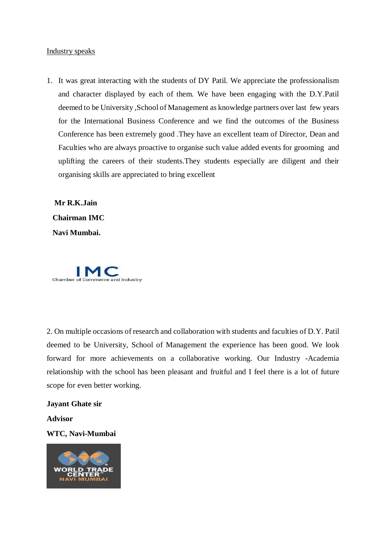## Industry speaks

1. It was great interacting with the students of DY Patil. We appreciate the professionalism and character displayed by each of them. We have been engaging with the D.Y.Patil deemed to be University ,School of Management as knowledge partners over last few years for the International Business Conference and we find the outcomes of the Business Conference has been extremely good .They have an excellent team of Director, Dean and Faculties who are always proactive to organise such value added events for grooming and uplifting the careers of their students.They students especially are diligent and their organising skills are appreciated to bring excellent

 **Mr R.K.Jain Chairman IMC Navi Mumbai.** 



2. On multiple occasions of research and collaboration with students and faculties of D.Y. Patil deemed to be University, School of Management the experience has been good. We look forward for more achievements on a collaborative working. Our Industry -Academia relationship with the school has been pleasant and fruitful and I feel there is a lot of future scope for even better working.

## **Jayant Ghate sir**

**Advisor**

## **WTC, Navi-Mumbai**